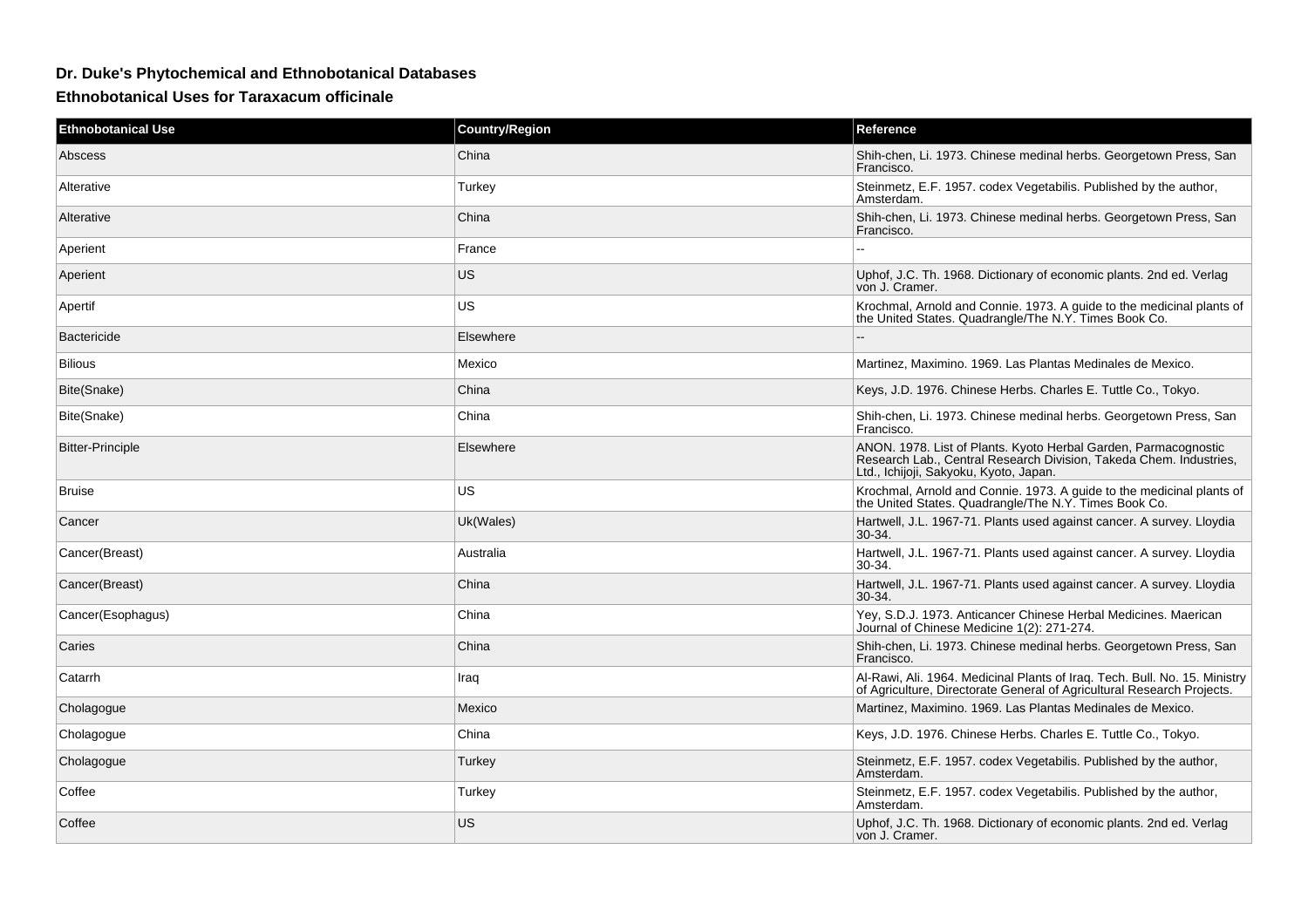## **Dr. Duke's Phytochemical and Ethnobotanical Databases**

**Ethnobotanical Uses for Taraxacum officinale**

| <b>Ethnobotanical Use</b> | <b>Country/Region</b> | Reference                                                                                                                                                                       |
|---------------------------|-----------------------|---------------------------------------------------------------------------------------------------------------------------------------------------------------------------------|
| Abscess                   | China                 | Shih-chen, Li. 1973. Chinese medinal herbs. Georgetown Press, San<br>Francisco.                                                                                                 |
| Alterative                | Turkey                | Steinmetz, E.F. 1957. codex Vegetabilis. Published by the author,<br>Amsterdam.                                                                                                 |
| Alterative                | China                 | Shih-chen, Li. 1973. Chinese medinal herbs. Georgetown Press, San<br>Francisco.                                                                                                 |
| Aperient                  | France                |                                                                                                                                                                                 |
| Aperient                  | <b>US</b>             | Uphof, J.C. Th. 1968. Dictionary of economic plants. 2nd ed. Verlag<br>von J. Cramer.                                                                                           |
| Apertif                   | US.                   | Krochmal, Arnold and Connie. 1973. A guide to the medicinal plants of<br>the United States. Quadrangle/The N.Y. Times Book Co.                                                  |
| <b>Bactericide</b>        | Elsewhere             |                                                                                                                                                                                 |
| <b>Bilious</b>            | Mexico                | Martinez, Maximino. 1969. Las Plantas Medinales de Mexico.                                                                                                                      |
| Bite(Snake)               | China                 | Keys, J.D. 1976. Chinese Herbs. Charles E. Tuttle Co., Tokyo.                                                                                                                   |
| Bite(Snake)               | China                 | Shih-chen, Li. 1973. Chinese medinal herbs. Georgetown Press, San<br>Francisco.                                                                                                 |
| <b>Bitter-Principle</b>   | Elsewhere             | ANON. 1978. List of Plants. Kyoto Herbal Garden, Parmacognostic<br>Research Lab., Central Research Division, Takeda Chem. Industries.<br>Ltd., Ichijoji, Sakyoku, Kyoto, Japan. |
| Bruise                    | <b>US</b>             | Krochmal, Arnold and Connie. 1973. A guide to the medicinal plants of<br>the United States. Quadrangle/The N.Y. Times Book Co.                                                  |
| Cancer                    | Uk(Wales)             | Hartwell, J.L. 1967-71. Plants used against cancer. A survey. Lloydia<br>30-34.                                                                                                 |
| Cancer(Breast)            | Australia             | Hartwell, J.L. 1967-71. Plants used against cancer. A survey. Lloydia<br>30-34.                                                                                                 |
| Cancer(Breast)            | China                 | Hartwell, J.L. 1967-71. Plants used against cancer. A survey. Lloydia<br>30-34.                                                                                                 |
| Cancer(Esophagus)         | China                 | Yey, S.D.J. 1973. Anticancer Chinese Herbal Medicines. Maerican<br>Journal of Chinese Medicine 1(2): 271-274.                                                                   |
| Caries                    | China                 | Shih-chen, Li. 1973. Chinese medinal herbs. Georgetown Press, San<br>Francisco.                                                                                                 |
| Catarrh                   | Iraq                  | Al-Rawi, Ali. 1964. Medicinal Plants of Iraq. Tech. Bull. No. 15. Ministry<br>of Agriculture, Directorate General of Agricultural Research Projects.                            |
| Cholagogue                | Mexico                | Martinez, Maximino, 1969, Las Plantas Medinales de Mexico.                                                                                                                      |
| Cholagogue                | China                 | Keys, J.D. 1976. Chinese Herbs. Charles E. Tuttle Co., Tokyo.                                                                                                                   |
| Cholagogue                | Turkey                | Steinmetz, E.F. 1957. codex Vegetabilis. Published by the author,<br>Amsterdam.                                                                                                 |
| Coffee                    | Turkey                | Steinmetz, E.F. 1957. codex Vegetabilis. Published by the author,<br>Amsterdam.                                                                                                 |
| Coffee                    | <b>US</b>             | Uphof, J.C. Th. 1968. Dictionary of economic plants. 2nd ed. Verlag<br>von J. Cramer.                                                                                           |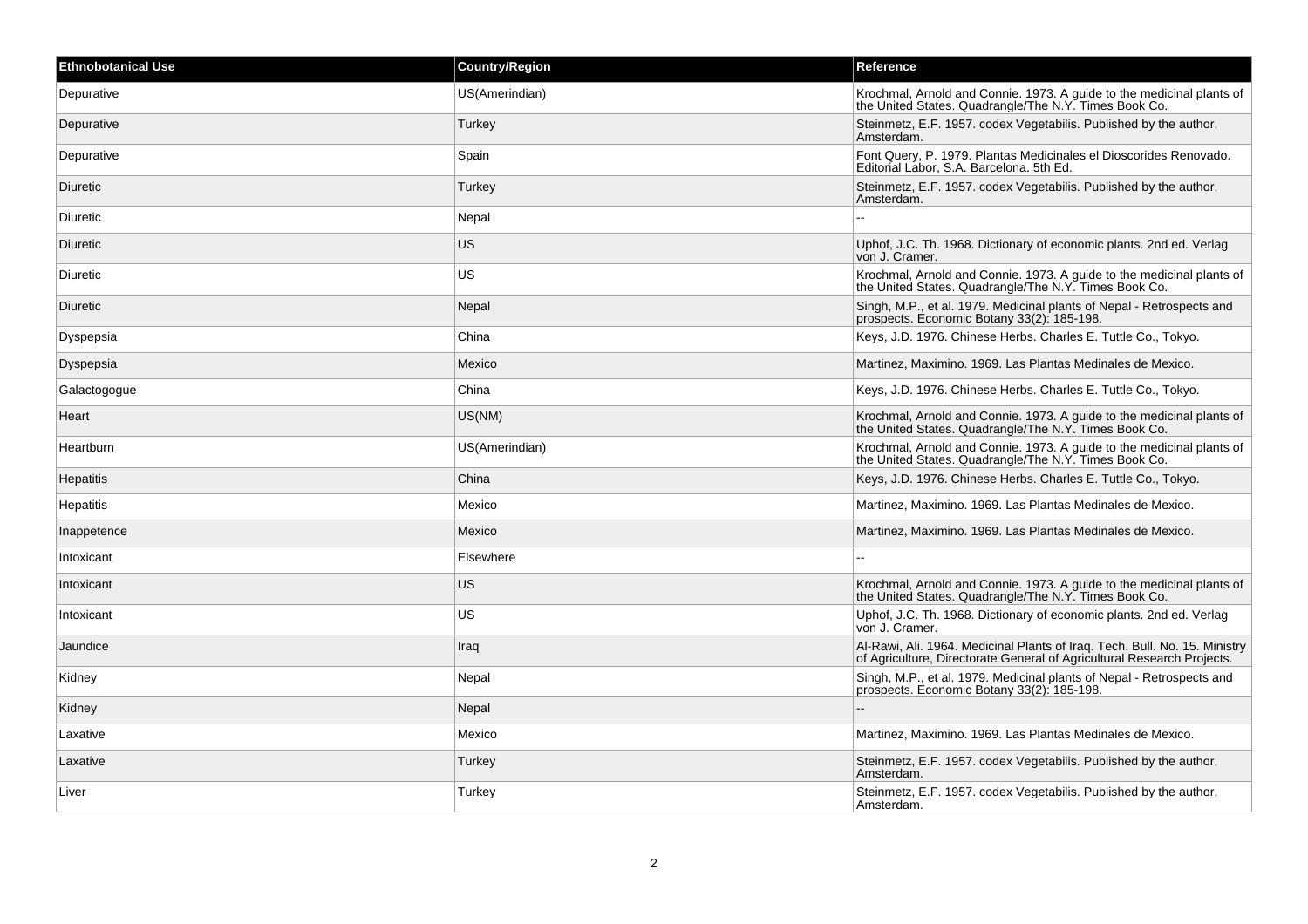| <b>Ethnobotanical Use</b> | <b>Country/Region</b> | Reference                                                                                                                                            |
|---------------------------|-----------------------|------------------------------------------------------------------------------------------------------------------------------------------------------|
| Depurative                | US(Amerindian)        | Krochmal, Arnold and Connie. 1973. A guide to the medicinal plants of<br>the United States. Quadrangle/The N.Y. Times Book Co.                       |
| Depurative                | Turkey                | Steinmetz, E.F. 1957. codex Vegetabilis. Published by the author,<br>Amsterdam.                                                                      |
| Depurative                | Spain                 | Font Query, P. 1979. Plantas Medicinales el Dioscorides Renovado.<br>Editorial Labor, S.A. Barcelona. 5th Ed.                                        |
| Diuretic                  | Turkey                | Steinmetz, E.F. 1957. codex Vegetabilis. Published by the author,<br>Amsterdam.                                                                      |
| Diuretic                  | Nepal                 |                                                                                                                                                      |
| Diuretic                  | US.                   | Uphof, J.C. Th. 1968. Dictionary of economic plants. 2nd ed. Verlag<br>von J. Cramer.                                                                |
| Diuretic                  | US                    | Krochmal, Arnold and Connie. 1973. A guide to the medicinal plants of<br>the United States. Quadrangle/The N.Y. Times Book Co.                       |
| Diuretic                  | Nepal                 | Singh, M.P., et al. 1979. Medicinal plants of Nepal - Retrospects and<br>prospects. Economic Botany 33(2): 185-198.                                  |
| Dyspepsia                 | China                 | Keys, J.D. 1976. Chinese Herbs. Charles E. Tuttle Co., Tokyo.                                                                                        |
| Dyspepsia                 | Mexico                | Martinez, Maximino. 1969. Las Plantas Medinales de Mexico.                                                                                           |
| Galactogogue              | China                 | Keys, J.D. 1976. Chinese Herbs. Charles E. Tuttle Co., Tokyo.                                                                                        |
| Heart                     | US(NM)                | Krochmal, Arnold and Connie. 1973. A guide to the medicinal plants of<br>the United States. Quadrangle/The N.Y. Times Book Co.                       |
| Heartburn                 | US(Amerindian)        | Krochmal, Arnold and Connie. 1973. A guide to the medicinal plants of<br>the United States. Quadrangle/The N.Y. Times Book Co.                       |
| Hepatitis                 | China                 | Keys, J.D. 1976. Chinese Herbs. Charles E. Tuttle Co., Tokyo.                                                                                        |
| Hepatitis                 | Mexico                | Martinez, Maximino. 1969. Las Plantas Medinales de Mexico.                                                                                           |
| Inappetence               | Mexico                | Martinez, Maximino. 1969. Las Plantas Medinales de Mexico.                                                                                           |
| Intoxicant                | Elsewhere             |                                                                                                                                                      |
| Intoxicant                | US                    | Krochmal, Arnold and Connie. 1973. A guide to the medicinal plants of<br>the United States. Quadrangle/The N.Y. Times Book Co.                       |
| Intoxicant                | US                    | Uphof, J.C. Th. 1968. Dictionary of economic plants. 2nd ed. Verlag<br>von J. Cramer.                                                                |
| Jaundice                  | Iraq                  | Al-Rawi, Ali. 1964. Medicinal Plants of Iraq. Tech. Bull. No. 15. Ministry<br>of Agriculture, Directorate General of Agricultural Research Projects. |
| Kidney                    | Nepal                 | Singh, M.P., et al. 1979. Medicinal plants of Nepal - Retrospects and<br>prospects. Economic Botany 33(2): 185-198.                                  |
| Kidney                    | Nepal                 |                                                                                                                                                      |
| Laxative                  | Mexico                | Martinez, Maximino. 1969. Las Plantas Medinales de Mexico.                                                                                           |
| Laxative                  | Turkey                | Steinmetz, E.F. 1957. codex Vegetabilis. Published by the author,<br>Amsterdam.                                                                      |
| Liver                     | Turkey                | Steinmetz, E.F. 1957. codex Vegetabilis. Published by the author,<br>Amsterdam.                                                                      |